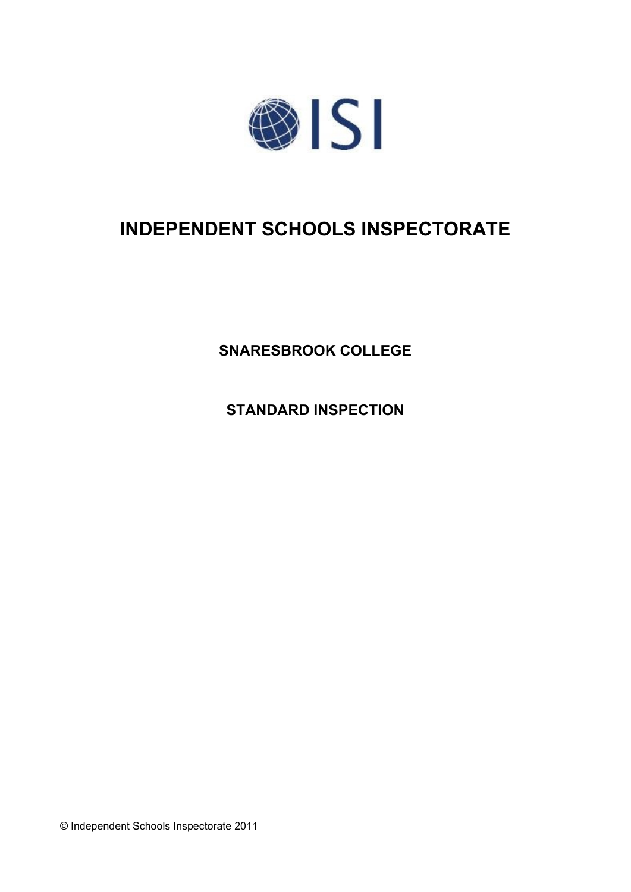

# **INDEPENDENT SCHOOLS INSPECTORATE**

**SNARESBROOK COLLEGE**

**STANDARD INSPECTION**

© Independent Schools Inspectorate 2011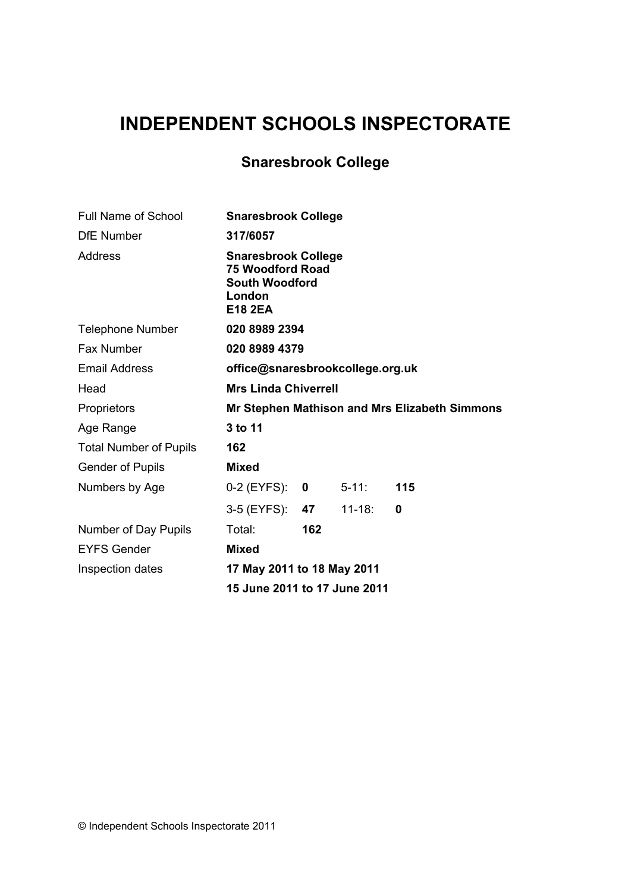# **INDEPENDENT SCHOOLS INSPECTORATE**

## **Snaresbrook College**

| <b>Full Name of School</b>    |                                                                                                            | <b>Snaresbrook College</b>          |            |     |  |  |
|-------------------------------|------------------------------------------------------------------------------------------------------------|-------------------------------------|------------|-----|--|--|
| <b>DfE</b> Number             | 317/6057                                                                                                   |                                     |            |     |  |  |
| Address                       | <b>Snaresbrook College</b><br><b>75 Woodford Road</b><br><b>South Woodford</b><br>London<br><b>E18 2EA</b> |                                     |            |     |  |  |
| <b>Telephone Number</b>       |                                                                                                            | 020 8989 2394                       |            |     |  |  |
| <b>Fax Number</b>             |                                                                                                            | 020 8989 4379                       |            |     |  |  |
| <b>Email Address</b>          |                                                                                                            | office@snaresbrookcollege.org.uk    |            |     |  |  |
| Head                          |                                                                                                            | <b>Mrs Linda Chiverrell</b>         |            |     |  |  |
| Proprietors                   | Mr Stephen Mathison and Mrs Elizabeth Simmons                                                              |                                     |            |     |  |  |
| Age Range                     | 3 to 11                                                                                                    |                                     |            |     |  |  |
| <b>Total Number of Pupils</b> | 162                                                                                                        |                                     |            |     |  |  |
| <b>Gender of Pupils</b>       | <b>Mixed</b>                                                                                               |                                     |            |     |  |  |
| Numbers by Age                | $0-2$ (EYFS): 0                                                                                            |                                     | $5 - 11$ : | 115 |  |  |
|                               | 3-5 (EYFS): <b>47</b>                                                                                      |                                     | $11 - 18:$ | 0   |  |  |
| Number of Day Pupils          | Total:                                                                                                     | 162                                 |            |     |  |  |
| <b>EYFS Gender</b>            | <b>Mixed</b>                                                                                               |                                     |            |     |  |  |
| Inspection dates              | 17 May 2011 to 18 May 2011                                                                                 |                                     |            |     |  |  |
|                               |                                                                                                            | <b>15 June 2011 to 17 June 2011</b> |            |     |  |  |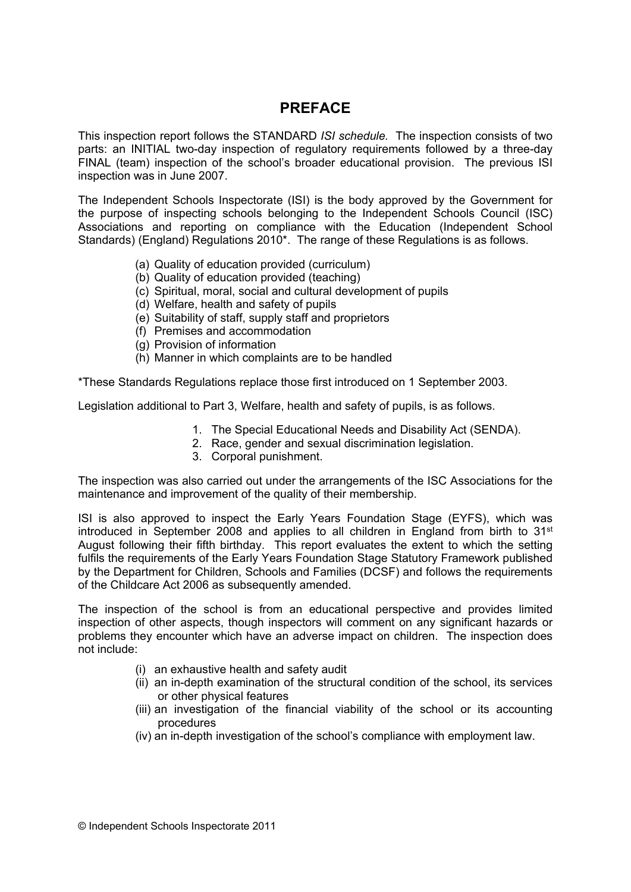## **PREFACE**

This inspection report follows the STANDARD *ISI schedule.* The inspection consists of two parts: an INITIAL two-day inspection of regulatory requirements followed by a three-day FINAL (team) inspection of the school's broader educational provision. The previous ISI inspection was in June 2007.

The Independent Schools Inspectorate (ISI) is the body approved by the Government for the purpose of inspecting schools belonging to the Independent Schools Council (ISC) Associations and reporting on compliance with the Education (Independent School Standards) (England) Regulations 2010\*. The range of these Regulations is as follows.

- (a) Quality of education provided (curriculum)
- (b) Quality of education provided (teaching)
- (c) Spiritual, moral, social and cultural development of pupils
- (d) Welfare, health and safety of pupils
- (e) Suitability of staff, supply staff and proprietors
- (f) Premises and accommodation
- (g) Provision of information
- (h) Manner in which complaints are to be handled

\*These Standards Regulations replace those first introduced on 1 September 2003.

Legislation additional to Part 3, Welfare, health and safety of pupils, is as follows.

- 1. The Special Educational Needs and Disability Act (SENDA).
- 2. Race, gender and sexual discrimination legislation.
- 3. Corporal punishment.

The inspection was also carried out under the arrangements of the ISC Associations for the maintenance and improvement of the quality of their membership.

ISI is also approved to inspect the Early Years Foundation Stage (EYFS), which was introduced in September 2008 and applies to all children in England from birth to  $31<sup>st</sup>$ August following their fifth birthday. This report evaluates the extent to which the setting fulfils the requirements of the Early Years Foundation Stage Statutory Framework published by the Department for Children, Schools and Families (DCSF) and follows the requirements of the Childcare Act 2006 as subsequently amended.

The inspection of the school is from an educational perspective and provides limited inspection of other aspects, though inspectors will comment on any significant hazards or problems they encounter which have an adverse impact on children. The inspection does not include:

- (i) an exhaustive health and safety audit
- (ii) an in-depth examination of the structural condition of the school, its services or other physical features
- (iii) an investigation of the financial viability of the school or its accounting procedures
- (iv) an in-depth investigation of the school's compliance with employment law.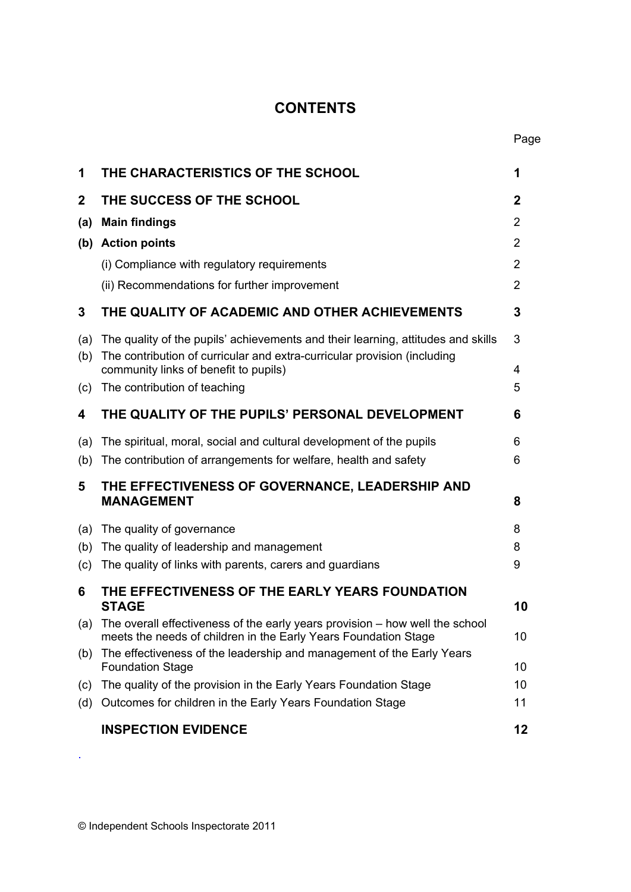## **CONTENTS**

| 1           | THE CHARACTERISTICS OF THE SCHOOL                                                                                                                            | 1            |
|-------------|--------------------------------------------------------------------------------------------------------------------------------------------------------------|--------------|
| $\mathbf 2$ | THE SUCCESS OF THE SCHOOL                                                                                                                                    | $\mathbf{2}$ |
| (a)         | <b>Main findings</b>                                                                                                                                         | 2            |
| (b)         | <b>Action points</b>                                                                                                                                         | 2            |
|             | (i) Compliance with regulatory requirements                                                                                                                  | 2            |
|             | (ii) Recommendations for further improvement                                                                                                                 | 2            |
| 3           | THE QUALITY OF ACADEMIC AND OTHER ACHIEVEMENTS                                                                                                               | 3            |
| (a)<br>(b)  | The quality of the pupils' achievements and their learning, attitudes and skills<br>The contribution of curricular and extra-curricular provision (including | 3            |
|             | community links of benefit to pupils)<br>The contribution of teaching                                                                                        | 4<br>5       |
| (c)         |                                                                                                                                                              |              |
| 4           | THE QUALITY OF THE PUPILS' PERSONAL DEVELOPMENT                                                                                                              | 6            |
| (a)         | The spiritual, moral, social and cultural development of the pupils                                                                                          | 6            |
| (b)         | The contribution of arrangements for welfare, health and safety                                                                                              | 6            |
| 5           | THE EFFECTIVENESS OF GOVERNANCE, LEADERSHIP AND<br><b>MANAGEMENT</b>                                                                                         | 8            |
| (a)         | The quality of governance                                                                                                                                    | 8            |
| (b)         | The quality of leadership and management                                                                                                                     | 8            |
| (c)         | The quality of links with parents, carers and guardians                                                                                                      | 9            |
| 6           | THE EFFECTIVENESS OF THE EARLY YEARS FOUNDATION<br><b>STAGE</b>                                                                                              | 10           |
|             | (a) The overall effectiveness of the early years provision – how well the school<br>meets the needs of children in the Early Years Foundation Stage          | 10           |
| (b)         | The effectiveness of the leadership and management of the Early Years<br><b>Foundation Stage</b>                                                             | 10           |
| (c)         | The quality of the provision in the Early Years Foundation Stage                                                                                             | 10           |
| (d)         | Outcomes for children in the Early Years Foundation Stage                                                                                                    | 11           |
|             | <b>INSPECTION EVIDENCE</b>                                                                                                                                   | 12           |

.

Page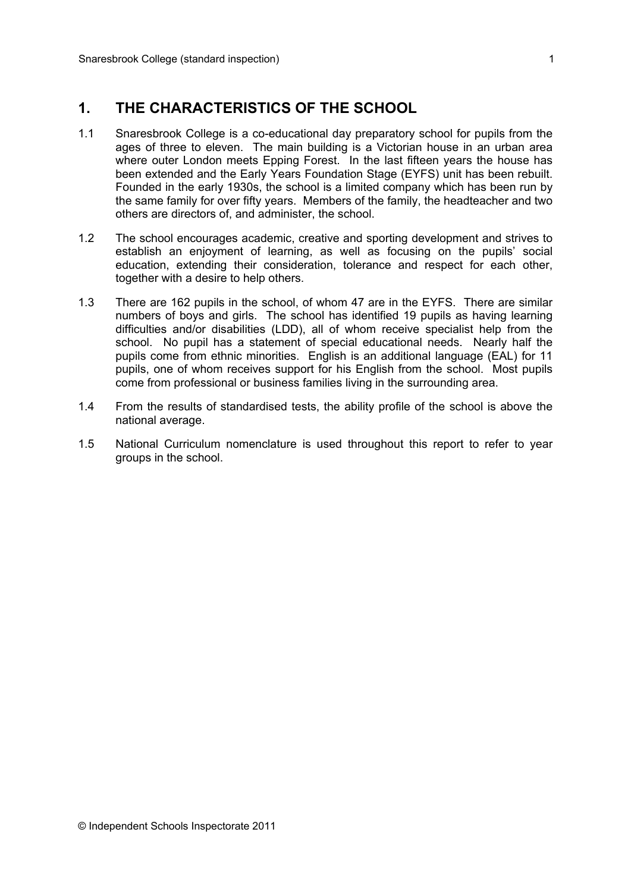## **1. THE CHARACTERISTICS OF THE SCHOOL**

- 1.1 Snaresbrook College is a co-educational day preparatory school for pupils from the ages of three to eleven. The main building is a Victorian house in an urban area where outer London meets Epping Forest. In the last fifteen years the house has been extended and the Early Years Foundation Stage (EYFS) unit has been rebuilt. Founded in the early 1930s, the school is a limited company which has been run by the same family for over fifty years. Members of the family, the headteacher and two others are directors of, and administer, the school.
- 1.2 The school encourages academic, creative and sporting development and strives to establish an enjoyment of learning, as well as focusing on the pupils' social education, extending their consideration, tolerance and respect for each other, together with a desire to help others.
- 1.3 There are 162 pupils in the school, of whom 47 are in the EYFS. There are similar numbers of boys and girls. The school has identified 19 pupils as having learning difficulties and/or disabilities (LDD), all of whom receive specialist help from the school. No pupil has a statement of special educational needs. Nearly half the pupils come from ethnic minorities. English is an additional language (EAL) for 11 pupils, one of whom receives support for his English from the school. Most pupils come from professional or business families living in the surrounding area.
- 1.4 From the results of standardised tests, the ability profile of the school is above the national average.
- 1.5 National Curriculum nomenclature is used throughout this report to refer to year groups in the school.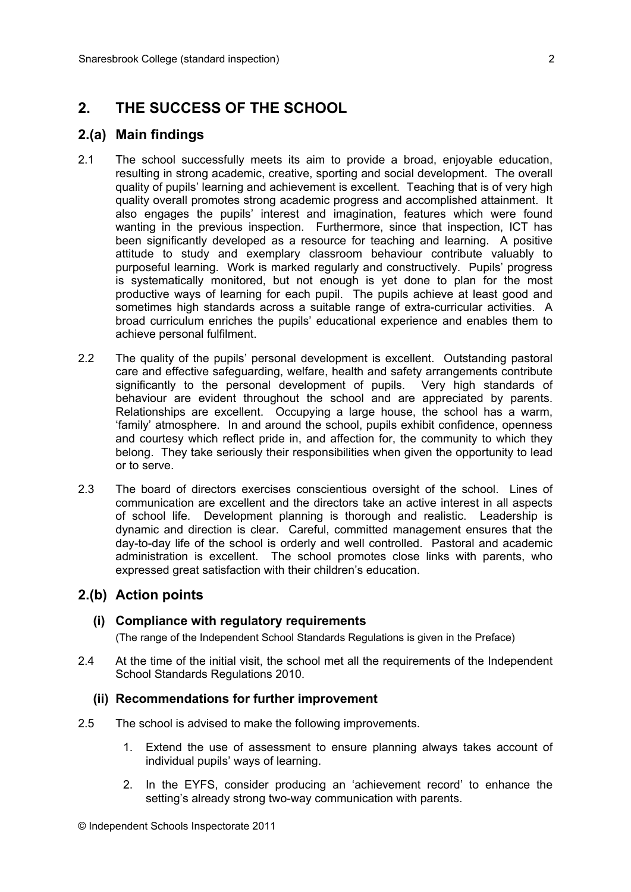## **2. THE SUCCESS OF THE SCHOOL**

### **2.(a) Main findings**

- 2.1 The school successfully meets its aim to provide a broad, enjoyable education, resulting in strong academic, creative, sporting and social development. The overall quality of pupils' learning and achievement is excellent. Teaching that is of very high quality overall promotes strong academic progress and accomplished attainment. It also engages the pupils' interest and imagination, features which were found wanting in the previous inspection. Furthermore, since that inspection, ICT has been significantly developed as a resource for teaching and learning. A positive attitude to study and exemplary classroom behaviour contribute valuably to purposeful learning. Work is marked regularly and constructively. Pupils' progress is systematically monitored, but not enough is yet done to plan for the most productive ways of learning for each pupil. The pupils achieve at least good and sometimes high standards across a suitable range of extra-curricular activities. A broad curriculum enriches the pupils' educational experience and enables them to achieve personal fulfilment.
- 2.2 The quality of the pupils' personal development is excellent. Outstanding pastoral care and effective safeguarding, welfare, health and safety arrangements contribute significantly to the personal development of pupils. Very high standards of behaviour are evident throughout the school and are appreciated by parents. Relationships are excellent. Occupying a large house, the school has a warm, 'family' atmosphere. In and around the school, pupils exhibit confidence, openness and courtesy which reflect pride in, and affection for, the community to which they belong. They take seriously their responsibilities when given the opportunity to lead or to serve.
- 2.3 The board of directors exercises conscientious oversight of the school. Lines of communication are excellent and the directors take an active interest in all aspects of school life. Development planning is thorough and realistic. Leadership is dynamic and direction is clear. Careful, committed management ensures that the day-to-day life of the school is orderly and well controlled. Pastoral and academic administration is excellent. The school promotes close links with parents, who expressed great satisfaction with their children's education.

#### **2.(b) Action points**

#### **(i) Compliance with regulatory requirements**

(The range of the Independent School Standards Regulations is given in the Preface)

2.4 At the time of the initial visit, the school met all the requirements of the Independent School Standards Regulations 2010.

#### **(ii) Recommendations for further improvement**

- 2.5 The school is advised to make the following improvements.
	- 1. Extend the use of assessment to ensure planning always takes account of individual pupils' ways of learning.
	- 2. In the EYFS, consider producing an 'achievement record' to enhance the setting's already strong two-way communication with parents.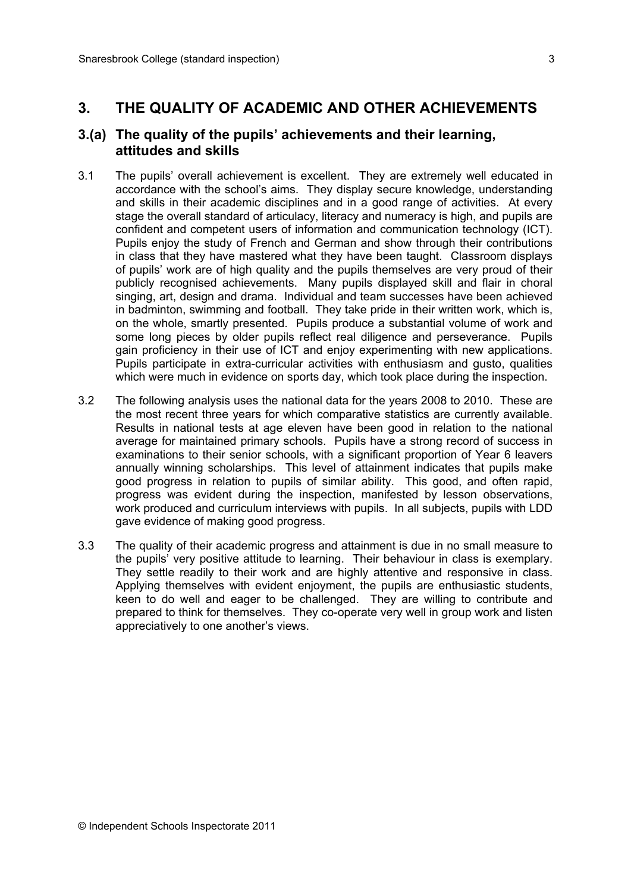## **3. THE QUALITY OF ACADEMIC AND OTHER ACHIEVEMENTS**

#### **3.(a) The quality of the pupils' achievements and their learning, attitudes and skills**

- 3.1 The pupils' overall achievement is excellent. They are extremely well educated in accordance with the school's aims. They display secure knowledge, understanding and skills in their academic disciplines and in a good range of activities. At every stage the overall standard of articulacy, literacy and numeracy is high, and pupils are confident and competent users of information and communication technology (ICT). Pupils enjoy the study of French and German and show through their contributions in class that they have mastered what they have been taught. Classroom displays of pupils' work are of high quality and the pupils themselves are very proud of their publicly recognised achievements. Many pupils displayed skill and flair in choral singing, art, design and drama. Individual and team successes have been achieved in badminton, swimming and football. They take pride in their written work, which is, on the whole, smartly presented. Pupils produce a substantial volume of work and some long pieces by older pupils reflect real diligence and perseverance. Pupils gain proficiency in their use of ICT and enjoy experimenting with new applications. Pupils participate in extra-curricular activities with enthusiasm and gusto, qualities which were much in evidence on sports day, which took place during the inspection.
- 3.2 The following analysis uses the national data for the years 2008 to 2010. These are the most recent three years for which comparative statistics are currently available. Results in national tests at age eleven have been good in relation to the national average for maintained primary schools. Pupils have a strong record of success in examinations to their senior schools, with a significant proportion of Year 6 leavers annually winning scholarships. This level of attainment indicates that pupils make good progress in relation to pupils of similar ability. This good, and often rapid, progress was evident during the inspection, manifested by lesson observations, work produced and curriculum interviews with pupils. In all subjects, pupils with LDD gave evidence of making good progress.
- 3.3 The quality of their academic progress and attainment is due in no small measure to the pupils' very positive attitude to learning. Their behaviour in class is exemplary. They settle readily to their work and are highly attentive and responsive in class. Applying themselves with evident enjoyment, the pupils are enthusiastic students, keen to do well and eager to be challenged. They are willing to contribute and prepared to think for themselves. They co-operate very well in group work and listen appreciatively to one another's views.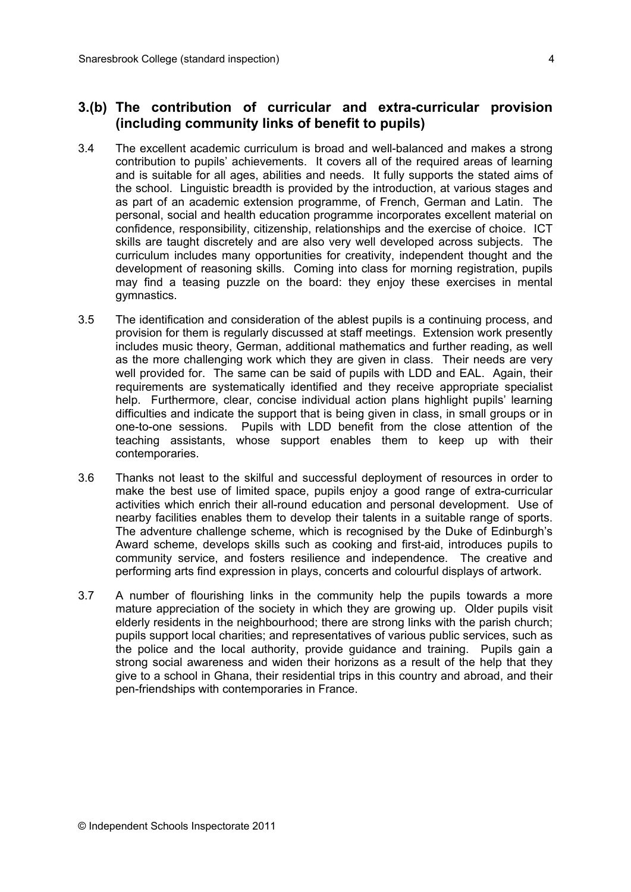#### **3.(b) The contribution of curricular and extra-curricular provision (including community links of benefit to pupils)**

- 3.4 The excellent academic curriculum is broad and well-balanced and makes a strong contribution to pupils' achievements. It covers all of the required areas of learning and is suitable for all ages, abilities and needs. It fully supports the stated aims of the school. Linguistic breadth is provided by the introduction, at various stages and as part of an academic extension programme, of French, German and Latin. The personal, social and health education programme incorporates excellent material on confidence, responsibility, citizenship, relationships and the exercise of choice. ICT skills are taught discretely and are also very well developed across subjects. The curriculum includes many opportunities for creativity, independent thought and the development of reasoning skills. Coming into class for morning registration, pupils may find a teasing puzzle on the board: they enjoy these exercises in mental gymnastics.
- 3.5 The identification and consideration of the ablest pupils is a continuing process, and provision for them is regularly discussed at staff meetings. Extension work presently includes music theory, German, additional mathematics and further reading, as well as the more challenging work which they are given in class. Their needs are very well provided for. The same can be said of pupils with LDD and EAL. Again, their requirements are systematically identified and they receive appropriate specialist help. Furthermore, clear, concise individual action plans highlight pupils' learning difficulties and indicate the support that is being given in class, in small groups or in one-to-one sessions. Pupils with LDD benefit from the close attention of the teaching assistants, whose support enables them to keep up with their contemporaries.
- 3.6 Thanks not least to the skilful and successful deployment of resources in order to make the best use of limited space, pupils enjoy a good range of extra-curricular activities which enrich their all-round education and personal development. Use of nearby facilities enables them to develop their talents in a suitable range of sports. The adventure challenge scheme, which is recognised by the Duke of Edinburgh's Award scheme, develops skills such as cooking and first-aid, introduces pupils to community service, and fosters resilience and independence. The creative and performing arts find expression in plays, concerts and colourful displays of artwork.
- 3.7 A number of flourishing links in the community help the pupils towards a more mature appreciation of the society in which they are growing up. Older pupils visit elderly residents in the neighbourhood; there are strong links with the parish church; pupils support local charities; and representatives of various public services, such as the police and the local authority, provide guidance and training. Pupils gain a strong social awareness and widen their horizons as a result of the help that they give to a school in Ghana, their residential trips in this country and abroad, and their pen-friendships with contemporaries in France.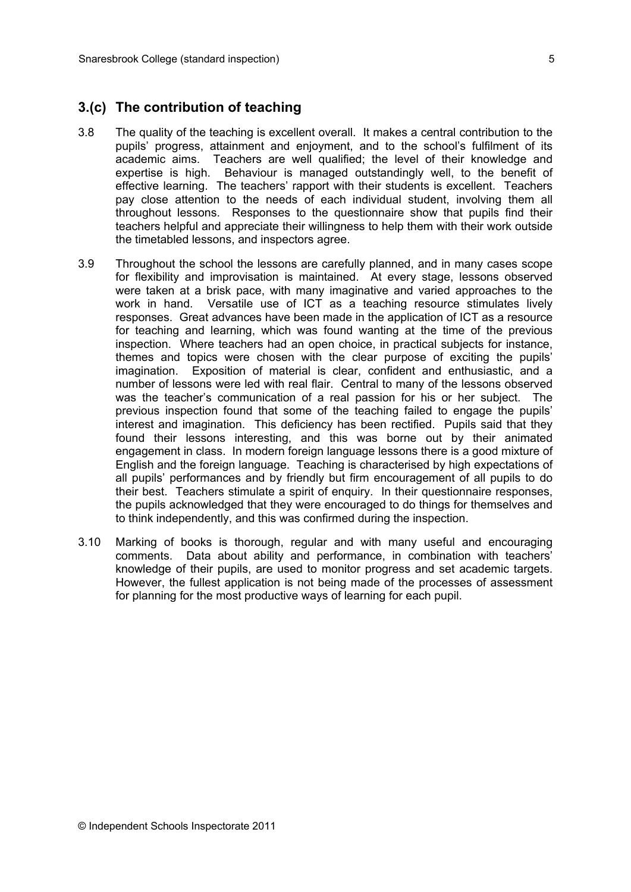#### **3.(c) The contribution of teaching**

- 3.8 The quality of the teaching is excellent overall. It makes a central contribution to the pupils' progress, attainment and enjoyment, and to the school's fulfilment of its academic aims. Teachers are well qualified; the level of their knowledge and expertise is high. Behaviour is managed outstandingly well, to the benefit of effective learning. The teachers' rapport with their students is excellent. Teachers pay close attention to the needs of each individual student, involving them all throughout lessons. Responses to the questionnaire show that pupils find their teachers helpful and appreciate their willingness to help them with their work outside the timetabled lessons, and inspectors agree.
- 3.9 Throughout the school the lessons are carefully planned, and in many cases scope for flexibility and improvisation is maintained. At every stage, lessons observed were taken at a brisk pace, with many imaginative and varied approaches to the work in hand. Versatile use of ICT as a teaching resource stimulates lively responses. Great advances have been made in the application of ICT as a resource for teaching and learning, which was found wanting at the time of the previous inspection. Where teachers had an open choice, in practical subjects for instance, themes and topics were chosen with the clear purpose of exciting the pupils' imagination. Exposition of material is clear, confident and enthusiastic, and a number of lessons were led with real flair. Central to many of the lessons observed was the teacher's communication of a real passion for his or her subject. The previous inspection found that some of the teaching failed to engage the pupils' interest and imagination. This deficiency has been rectified. Pupils said that they found their lessons interesting, and this was borne out by their animated engagement in class. In modern foreign language lessons there is a good mixture of English and the foreign language. Teaching is characterised by high expectations of all pupils' performances and by friendly but firm encouragement of all pupils to do their best. Teachers stimulate a spirit of enquiry. In their questionnaire responses, the pupils acknowledged that they were encouraged to do things for themselves and to think independently, and this was confirmed during the inspection.
- 3.10 Marking of books is thorough, regular and with many useful and encouraging comments. Data about ability and performance, in combination with teachers' knowledge of their pupils, are used to monitor progress and set academic targets. However, the fullest application is not being made of the processes of assessment for planning for the most productive ways of learning for each pupil.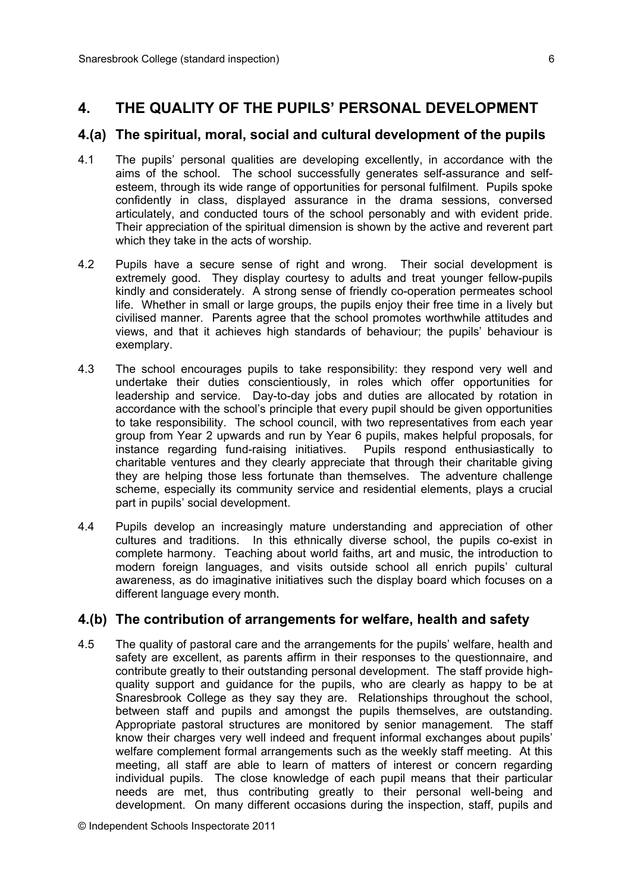## **4. THE QUALITY OF THE PUPILS' PERSONAL DEVELOPMENT**

#### **4.(a) The spiritual, moral, social and cultural development of the pupils**

- 4.1 The pupils' personal qualities are developing excellently, in accordance with the aims of the school. The school successfully generates self-assurance and selfesteem, through its wide range of opportunities for personal fulfilment. Pupils spoke confidently in class, displayed assurance in the drama sessions, conversed articulately, and conducted tours of the school personably and with evident pride. Their appreciation of the spiritual dimension is shown by the active and reverent part which they take in the acts of worship.
- 4.2 Pupils have a secure sense of right and wrong. Their social development is extremely good. They display courtesy to adults and treat younger fellow-pupils kindly and considerately. A strong sense of friendly co-operation permeates school life. Whether in small or large groups, the pupils enjoy their free time in a lively but civilised manner. Parents agree that the school promotes worthwhile attitudes and views, and that it achieves high standards of behaviour; the pupils' behaviour is exemplary.
- 4.3 The school encourages pupils to take responsibility: they respond very well and undertake their duties conscientiously, in roles which offer opportunities for leadership and service. Day-to-day jobs and duties are allocated by rotation in accordance with the school's principle that every pupil should be given opportunities to take responsibility. The school council, with two representatives from each year group from Year 2 upwards and run by Year 6 pupils, makes helpful proposals, for instance regarding fund-raising initiatives. Pupils respond enthusiastically to charitable ventures and they clearly appreciate that through their charitable giving they are helping those less fortunate than themselves. The adventure challenge scheme, especially its community service and residential elements, plays a crucial part in pupils' social development.
- 4.4 Pupils develop an increasingly mature understanding and appreciation of other cultures and traditions. In this ethnically diverse school, the pupils co-exist in complete harmony. Teaching about world faiths, art and music, the introduction to modern foreign languages, and visits outside school all enrich pupils' cultural awareness, as do imaginative initiatives such the display board which focuses on a different language every month.

### **4.(b) The contribution of arrangements for welfare, health and safety**

4.5 The quality of pastoral care and the arrangements for the pupils' welfare, health and safety are excellent, as parents affirm in their responses to the questionnaire, and contribute greatly to their outstanding personal development. The staff provide highquality support and guidance for the pupils, who are clearly as happy to be at Snaresbrook College as they say they are. Relationships throughout the school, between staff and pupils and amongst the pupils themselves, are outstanding. Appropriate pastoral structures are monitored by senior management. The staff know their charges very well indeed and frequent informal exchanges about pupils' welfare complement formal arrangements such as the weekly staff meeting. At this meeting, all staff are able to learn of matters of interest or concern regarding individual pupils. The close knowledge of each pupil means that their particular needs are met, thus contributing greatly to their personal well-being and development. On many different occasions during the inspection, staff, pupils and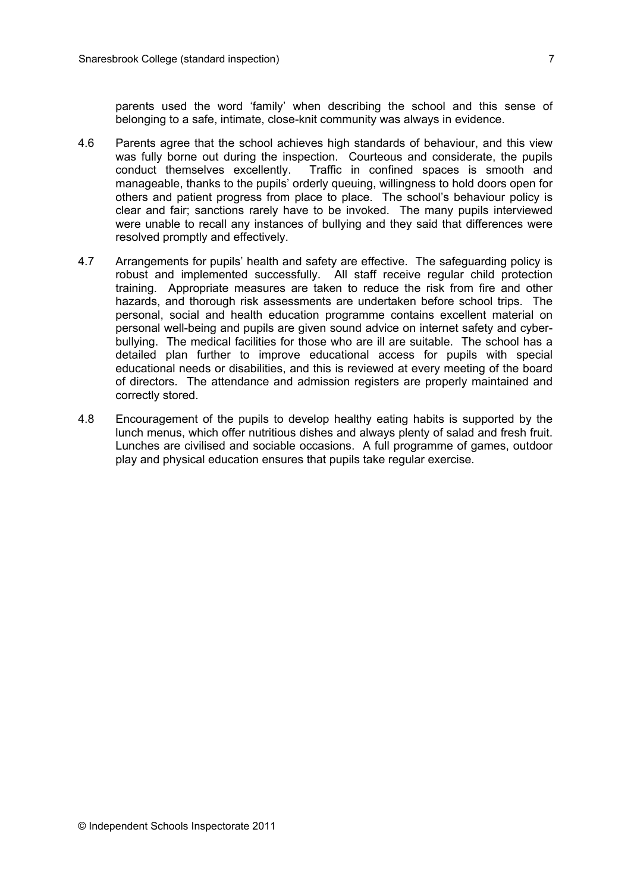parents used the word 'family' when describing the school and this sense of belonging to a safe, intimate, close-knit community was always in evidence.

- 4.6 Parents agree that the school achieves high standards of behaviour, and this view was fully borne out during the inspection. Courteous and considerate, the pupils conduct themselves excellently. Traffic in confined spaces is smooth and manageable, thanks to the pupils' orderly queuing, willingness to hold doors open for others and patient progress from place to place. The school's behaviour policy is clear and fair; sanctions rarely have to be invoked. The many pupils interviewed were unable to recall any instances of bullying and they said that differences were resolved promptly and effectively.
- 4.7 Arrangements for pupils' health and safety are effective. The safeguarding policy is robust and implemented successfully. All staff receive regular child protection training. Appropriate measures are taken to reduce the risk from fire and other hazards, and thorough risk assessments are undertaken before school trips. The personal, social and health education programme contains excellent material on personal well-being and pupils are given sound advice on internet safety and cyberbullying. The medical facilities for those who are ill are suitable. The school has a detailed plan further to improve educational access for pupils with special educational needs or disabilities, and this is reviewed at every meeting of the board of directors. The attendance and admission registers are properly maintained and correctly stored.
- 4.8 Encouragement of the pupils to develop healthy eating habits is supported by the lunch menus, which offer nutritious dishes and always plenty of salad and fresh fruit. Lunches are civilised and sociable occasions. A full programme of games, outdoor play and physical education ensures that pupils take regular exercise.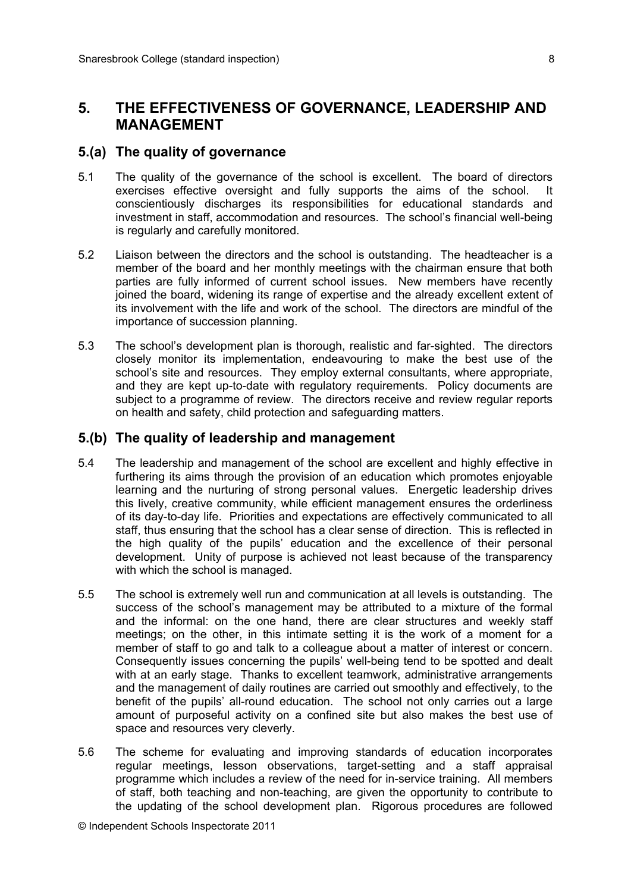## **5. THE EFFECTIVENESS OF GOVERNANCE, LEADERSHIP AND MANAGEMENT**

#### **5.(a) The quality of governance**

- 5.1 The quality of the governance of the school is excellent. The board of directors exercises effective oversight and fully supports the aims of the school. It conscientiously discharges its responsibilities for educational standards and investment in staff, accommodation and resources. The school's financial well-being is regularly and carefully monitored.
- 5.2 Liaison between the directors and the school is outstanding. The headteacher is a member of the board and her monthly meetings with the chairman ensure that both parties are fully informed of current school issues. New members have recently joined the board, widening its range of expertise and the already excellent extent of its involvement with the life and work of the school. The directors are mindful of the importance of succession planning.
- 5.3 The school's development plan is thorough, realistic and far-sighted. The directors closely monitor its implementation, endeavouring to make the best use of the school's site and resources. They employ external consultants, where appropriate, and they are kept up-to-date with regulatory requirements. Policy documents are subject to a programme of review. The directors receive and review regular reports on health and safety, child protection and safeguarding matters.

#### **5.(b) The quality of leadership and management**

- 5.4 The leadership and management of the school are excellent and highly effective in furthering its aims through the provision of an education which promotes enjoyable learning and the nurturing of strong personal values. Energetic leadership drives this lively, creative community, while efficient management ensures the orderliness of its day-to-day life. Priorities and expectations are effectively communicated to all staff, thus ensuring that the school has a clear sense of direction. This is reflected in the high quality of the pupils' education and the excellence of their personal development. Unity of purpose is achieved not least because of the transparency with which the school is managed.
- 5.5 The school is extremely well run and communication at all levels is outstanding. The success of the school's management may be attributed to a mixture of the formal and the informal: on the one hand, there are clear structures and weekly staff meetings; on the other, in this intimate setting it is the work of a moment for a member of staff to go and talk to a colleague about a matter of interest or concern. Consequently issues concerning the pupils' well-being tend to be spotted and dealt with at an early stage. Thanks to excellent teamwork, administrative arrangements and the management of daily routines are carried out smoothly and effectively, to the benefit of the pupils' all-round education. The school not only carries out a large amount of purposeful activity on a confined site but also makes the best use of space and resources very cleverly.
- 5.6 The scheme for evaluating and improving standards of education incorporates regular meetings, lesson observations, target-setting and a staff appraisal programme which includes a review of the need for in-service training. All members of staff, both teaching and non-teaching, are given the opportunity to contribute to the updating of the school development plan. Rigorous procedures are followed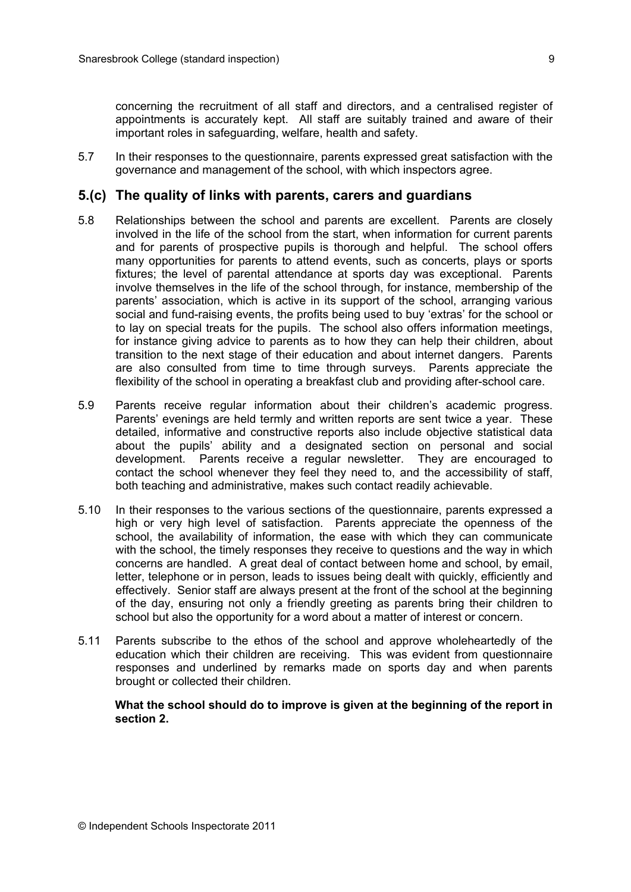concerning the recruitment of all staff and directors, and a centralised register of appointments is accurately kept. All staff are suitably trained and aware of their important roles in safeguarding, welfare, health and safety.

5.7 In their responses to the questionnaire, parents expressed great satisfaction with the governance and management of the school, with which inspectors agree.

#### **5.(c) The quality of links with parents, carers and guardians**

- 5.8 Relationships between the school and parents are excellent. Parents are closely involved in the life of the school from the start, when information for current parents and for parents of prospective pupils is thorough and helpful. The school offers many opportunities for parents to attend events, such as concerts, plays or sports fixtures; the level of parental attendance at sports day was exceptional. Parents involve themselves in the life of the school through, for instance, membership of the parents' association, which is active in its support of the school, arranging various social and fund-raising events, the profits being used to buy 'extras' for the school or to lay on special treats for the pupils. The school also offers information meetings, for instance giving advice to parents as to how they can help their children, about transition to the next stage of their education and about internet dangers. Parents are also consulted from time to time through surveys. Parents appreciate the flexibility of the school in operating a breakfast club and providing after-school care.
- 5.9 Parents receive regular information about their children's academic progress. Parents' evenings are held termly and written reports are sent twice a year. These detailed, informative and constructive reports also include objective statistical data about the pupils' ability and a designated section on personal and social development. Parents receive a regular newsletter. They are encouraged to contact the school whenever they feel they need to, and the accessibility of staff, both teaching and administrative, makes such contact readily achievable.
- 5.10 In their responses to the various sections of the questionnaire, parents expressed a high or very high level of satisfaction. Parents appreciate the openness of the school, the availability of information, the ease with which they can communicate with the school, the timely responses they receive to questions and the way in which concerns are handled. A great deal of contact between home and school, by email, letter, telephone or in person, leads to issues being dealt with quickly, efficiently and effectively. Senior staff are always present at the front of the school at the beginning of the day, ensuring not only a friendly greeting as parents bring their children to school but also the opportunity for a word about a matter of interest or concern.
- 5.11 Parents subscribe to the ethos of the school and approve wholeheartedly of the education which their children are receiving. This was evident from questionnaire responses and underlined by remarks made on sports day and when parents brought or collected their children.

**What the school should do to improve is given at the beginning of the report in section 2.**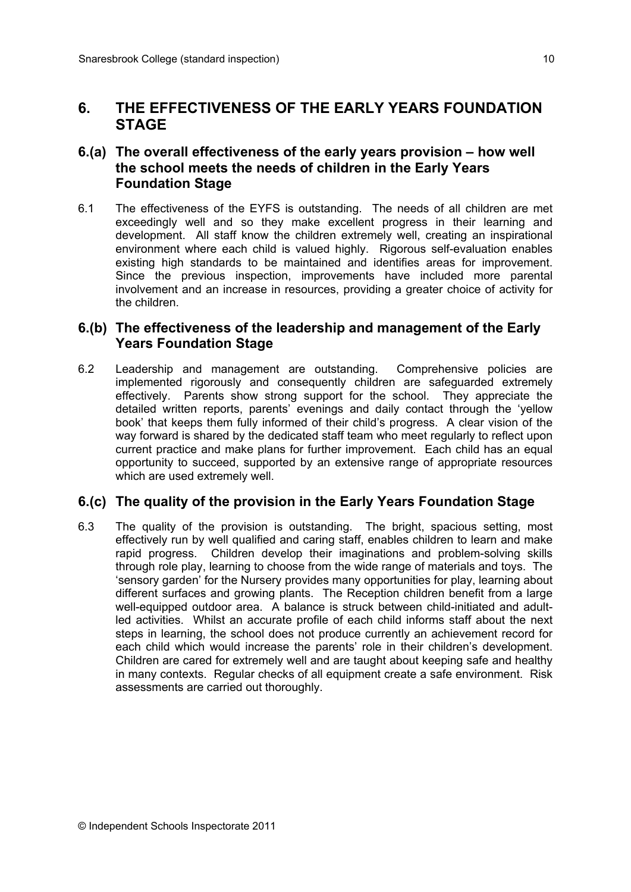## **6. THE EFFECTIVENESS OF THE EARLY YEARS FOUNDATION STAGE**

### **6.(a) The overall effectiveness of the early years provision – how well the school meets the needs of children in the Early Years Foundation Stage**

6.1 The effectiveness of the EYFS is outstanding. The needs of all children are met exceedingly well and so they make excellent progress in their learning and development. All staff know the children extremely well, creating an inspirational environment where each child is valued highly. Rigorous self-evaluation enables existing high standards to be maintained and identifies areas for improvement. Since the previous inspection, improvements have included more parental involvement and an increase in resources, providing a greater choice of activity for the children.

### **6.(b) The effectiveness of the leadership and management of the Early Years Foundation Stage**

6.2 Leadership and management are outstanding. Comprehensive policies are implemented rigorously and consequently children are safeguarded extremely effectively. Parents show strong support for the school. They appreciate the detailed written reports, parents' evenings and daily contact through the 'yellow book' that keeps them fully informed of their child's progress. A clear vision of the way forward is shared by the dedicated staff team who meet regularly to reflect upon current practice and make plans for further improvement. Each child has an equal opportunity to succeed, supported by an extensive range of appropriate resources which are used extremely well.

### **6.(c) The quality of the provision in the Early Years Foundation Stage**

6.3 The quality of the provision is outstanding. The bright, spacious setting, most effectively run by well qualified and caring staff, enables children to learn and make rapid progress. Children develop their imaginations and problem-solving skills through role play, learning to choose from the wide range of materials and toys. The 'sensory garden' for the Nursery provides many opportunities for play, learning about different surfaces and growing plants. The Reception children benefit from a large well-equipped outdoor area. A balance is struck between child-initiated and adultled activities. Whilst an accurate profile of each child informs staff about the next steps in learning, the school does not produce currently an achievement record for each child which would increase the parents' role in their children's development. Children are cared for extremely well and are taught about keeping safe and healthy in many contexts. Regular checks of all equipment create a safe environment. Risk assessments are carried out thoroughly.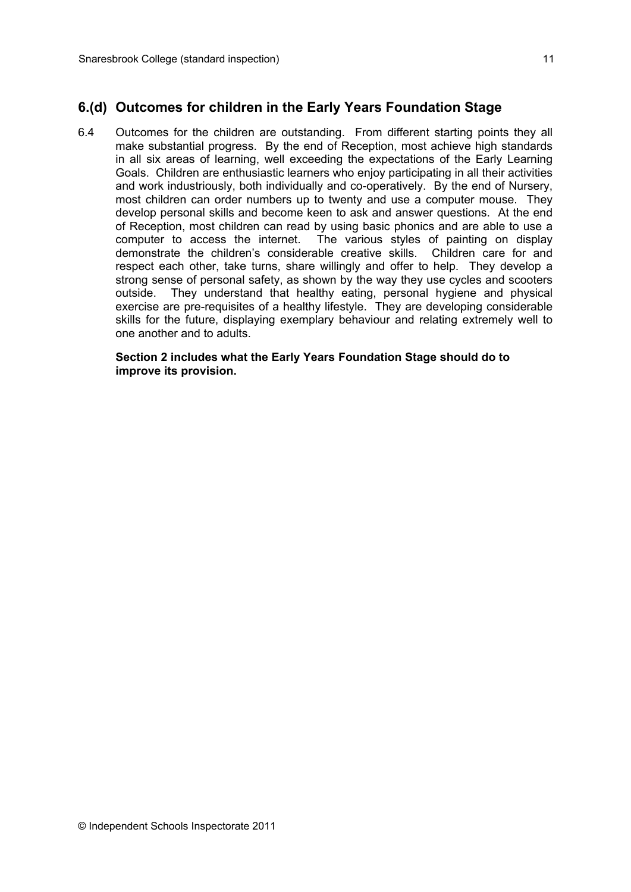6.4 Outcomes for the children are outstanding. From different starting points they all make substantial progress. By the end of Reception, most achieve high standards in all six areas of learning, well exceeding the expectations of the Early Learning Goals. Children are enthusiastic learners who enjoy participating in all their activities and work industriously, both individually and co-operatively. By the end of Nursery, most children can order numbers up to twenty and use a computer mouse. They develop personal skills and become keen to ask and answer questions. At the end of Reception, most children can read by using basic phonics and are able to use a computer to access the internet. The various styles of painting on display demonstrate the children's considerable creative skills. Children care for and respect each other, take turns, share willingly and offer to help. They develop a strong sense of personal safety, as shown by the way they use cycles and scooters outside. They understand that healthy eating, personal hygiene and physical exercise are pre-requisites of a healthy lifestyle. They are developing considerable skills for the future, displaying exemplary behaviour and relating extremely well to one another and to adults.

**Section 2 includes what the Early Years Foundation Stage should do to improve its provision.**